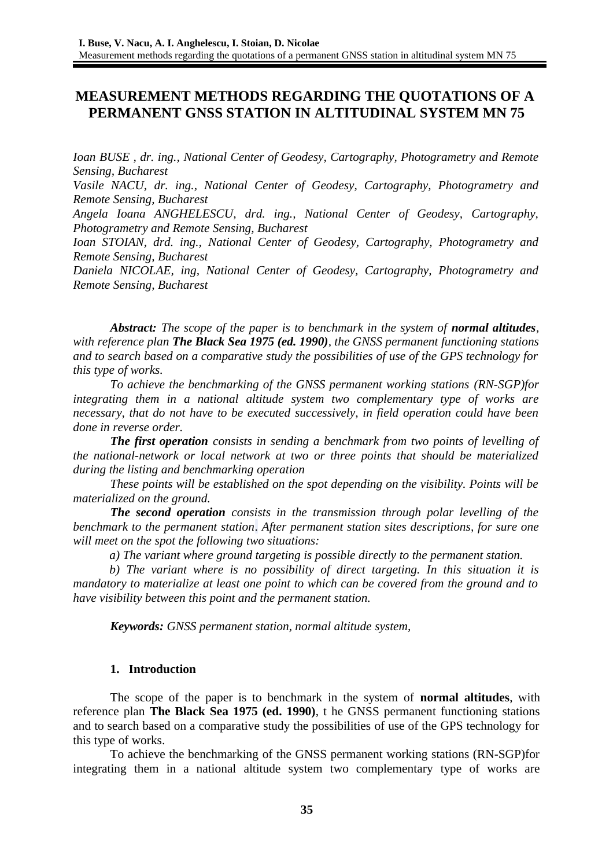# **MEASUREMENT METHODS REGARDING THE QUOTATIONS OF A PERMANENT GNSS STATION IN ALTITUDINAL SYSTEM MN 75**

*Ioan BUSE , dr. ing., National Center of Geodesy, Cartography, Photogrametry and Remote Sensing, Bucharest*

*Vasile NACU, dr. ing., National Center of Geodesy, Cartography, Photogrametry and Remote Sensing, Bucharest*

*Angela Ioana ANGHELESCU, drd. ing., National Center of Geodesy, Cartography, Photogrametry and Remote Sensing, Bucharest*

*Ioan STOIAN, drd. ing., National Center of Geodesy, Cartography, Photogrametry and Remote Sensing, Bucharest*

*Daniela NICOLAE, ing, National Center of Geodesy, Cartography, Photogrametry and Remote Sensing, Bucharest*

*Abstract: The scope of the paper is to benchmark in the system of normal altitudes, with reference plan The Black Sea 1975 (ed. 1990), the GNSS permanent functioning stations and to search based on a comparative study the possibilities of use of the GPS technology for this type of works.* 

*To achieve the benchmarking of the GNSS permanent working stations (RN-SGP)for integrating them in a national altitude system two complementary type of works are necessary, that do not have to be executed successively, in field operation could have been done in reverse order.* 

*The first operation consists in sending a benchmark from two points of levelling of the national-network or local network at two or three points that should be materialized during the listing and benchmarking operation*

*These points will be established on the spot depending on the visibility. Points will be materialized on the ground.*

*The second operation consists in the transmission through polar levelling of the benchmark to the permanent station*. *After permanent station sites descriptions, for sure one will meet on the spot the following two situations:* 

*a) The variant where ground targeting is possible directly to the permanent station.*

*b) The variant where is no possibility of direct targeting. In this situation it is mandatory to materialize at least one point to which can be covered from the ground and to have visibility between this point and the permanent station.*

*Keywords: GNSS permanent station, normal altitude system,* 

#### **1. Introduction**

The scope of the paper is to benchmark in the system of **normal altitudes**, with reference plan **The Black Sea 1975 (ed. 1990)**, t he GNSS permanent functioning stations and to search based on a comparative study the possibilities of use of the GPS technology for this type of works.

To achieve the benchmarking of the GNSS permanent working stations (RN-SGP)for integrating them in a national altitude system two complementary type of works are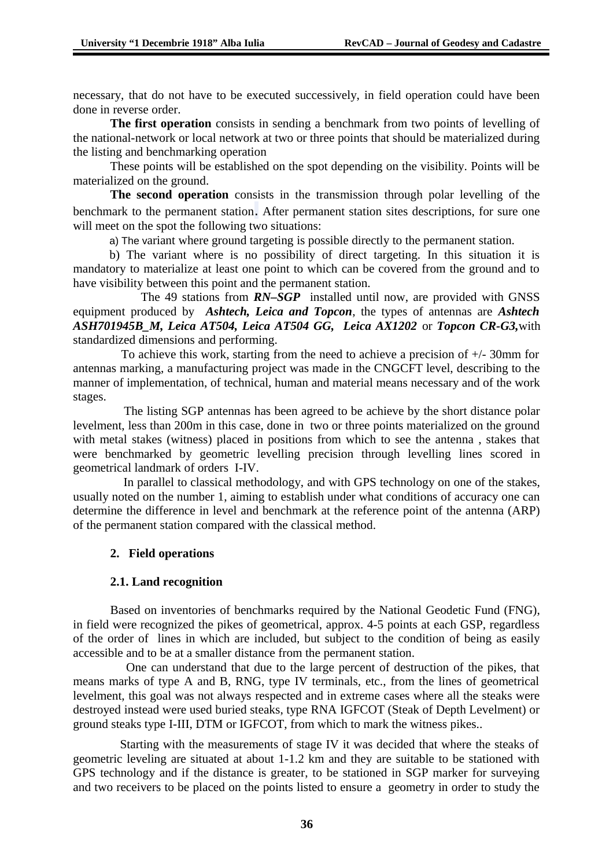necessary, that do not have to be executed successively, in field operation could have been done in reverse order.

**The first operation** consists in sending a benchmark from two points of levelling of the national-network or local network at two or three points that should be materialized during the listing and benchmarking operation

These points will be established on the spot depending on the visibility. Points will be materialized on the ground.

**The second operation** consists in the transmission through polar levelling of the benchmark to the permanent station. After permanent station sites descriptions, for sure one will meet on the spot the following two situations:

a) The variant where ground targeting is possible directly to the permanent station.

b) The variant where is no possibility of direct targeting. In this situation it is mandatory to materialize at least one point to which can be covered from the ground and to have visibility between this point and the permanent station.

 The 49 stations from *RN–SGP* installed until now, are provided with GNSS equipment produced by *Ashtech, Leica and Topcon*, the types of antennas are *Ashtech ASH701945B\_M, Leica AT504, Leica AT504 GG, Leica AX1202* or *Topcon CR-G3,*with standardized dimensions and performing.

 To achieve this work, starting from the need to achieve a precision of +/- 30mm for antennas marking, a manufacturing project was made in the CNGCFT level, describing to the manner of implementation, of technical, human and material means necessary and of the work stages.

 The listing SGP antennas has been agreed to be achieve by the short distance polar levelment, less than 200m in this case, done in two or three points materialized on the ground with metal stakes (witness) placed in positions from which to see the antenna , stakes that were benchmarked by geometric levelling precision through levelling lines scored in geometrical landmark of orders I-IV.

 In parallel to classical methodology, and with GPS technology on one of the stakes, usually noted on the number 1, aiming to establish under what conditions of accuracy one can determine the difference in level and benchmark at the reference point of the antenna (ARP) of the permanent station compared with the classical method.

# **2. Field operations**

#### **2.1. Land recognition**

Based on inventories of benchmarks required by the National Geodetic Fund (FNG), in field were recognized the pikes of geometrical, approx. 4-5 points at each GSP, regardless of the order of lines in which are included, but subject to the condition of being as easily accessible and to be at a smaller distance from the permanent station.

 One can understand that due to the large percent of destruction of the pikes, that means marks of type A and B, RNG, type IV terminals, etc., from the lines of geometrical levelment, this goal was not always respected and in extreme cases where all the steaks were destroyed instead were used buried steaks, type RNA IGFCOT (Steak of Depth Levelment) or ground steaks type I-III, DTM or IGFCOT, from which to mark the witness pikes..

 Starting with the measurements of stage IV it was decided that where the steaks of geometric leveling are situated at about 1-1.2 km and they are suitable to be stationed with GPS technology and if the distance is greater, to be stationed in SGP marker for surveying and two receivers to be placed on the points listed to ensure a geometry in order to study the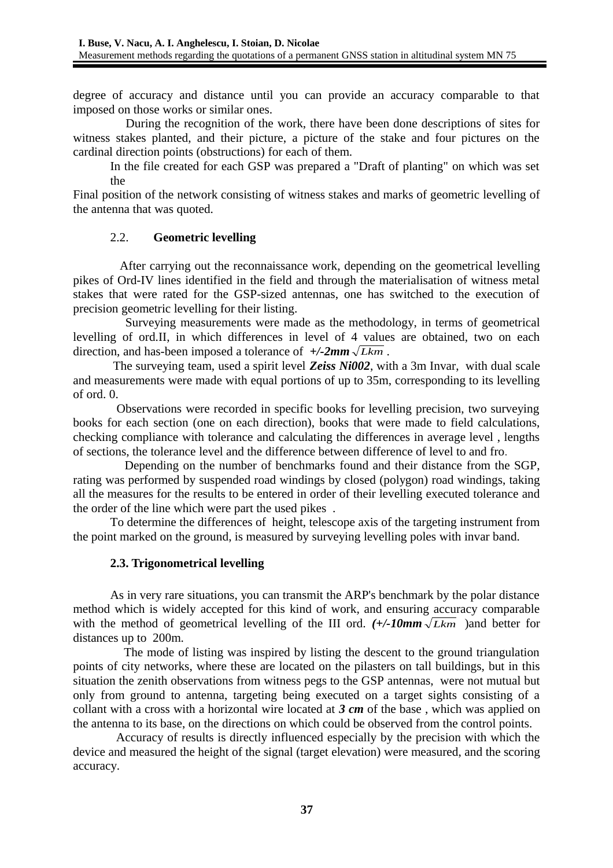degree of accuracy and distance until you can provide an accuracy comparable to that imposed on those works or similar ones.

 During the recognition of the work, there have been done descriptions of sites for witness stakes planted, and their picture, a picture of the stake and four pictures on the cardinal direction points (obstructions) for each of them.

In the file created for each GSP was prepared a "Draft of planting" on which was set the

Final position of the network consisting of witness stakes and marks of geometric levelling of the antenna that was quoted.

# 2.2. **Geometric levelling**

 After carrying out the reconnaissance work, depending on the geometrical levelling pikes of Ord-IV lines identified in the field and through the materialisation of witness metal stakes that were rated for the GSP-sized antennas, one has switched to the execution of precision geometric levelling for their listing.

 Surveying measurements were made as the methodology, in terms of geometrical levelling of ord.II, in which differences in level of 4 values are obtained, two on each direction, and has-been imposed a tolerance of *+/-2mm Lkm* .

 The surveying team, used a spirit level *Zeiss Ni002*, with a 3m Invar, with dual scale and measurements were made with equal portions of up to 35m, corresponding to its levelling of ord. 0.

 Observations were recorded in specific books for levelling precision, two surveying books for each section (one on each direction), books that were made to field calculations, checking compliance with tolerance and calculating the differences in average level , lengths of sections, the tolerance level and the difference between difference of level to and fro.

 Depending on the number of benchmarks found and their distance from the SGP, rating was performed by suspended road windings by closed (polygon) road windings, taking all the measures for the results to be entered in order of their levelling executed tolerance and the order of the line which were part the used pikes .

To determine the differences of height, telescope axis of the targeting instrument from the point marked on the ground, is measured by surveying levelling poles with invar band.

# **2.3. Trigonometrical levelling**

As in very rare situations, you can transmit the ARP's benchmark by the polar distance method which is widely accepted for this kind of work, and ensuring accuracy comparable with the method of geometrical levelling of the III ord.  $(+/-10mm\sqrt{Lkm})$  and better for distances up to200m.

 The mode of listing was inspired by listing the descent to the ground triangulation points of city networks, where these are located on the pilasters on tall buildings, but in this situation the zenith observations from witness pegs to the GSP antennas, were not mutual but only from ground to antenna, targeting being executed on a target sights consisting of a collant with a cross with a horizontal wire located at *3 cm* of the base , which was applied on the antenna to its base, on the directions on which could be observed from the control points.

 Accuracy of results is directly influenced especially by the precision with which the device and measured the height of the signal (target elevation) were measured, and the scoring accuracy.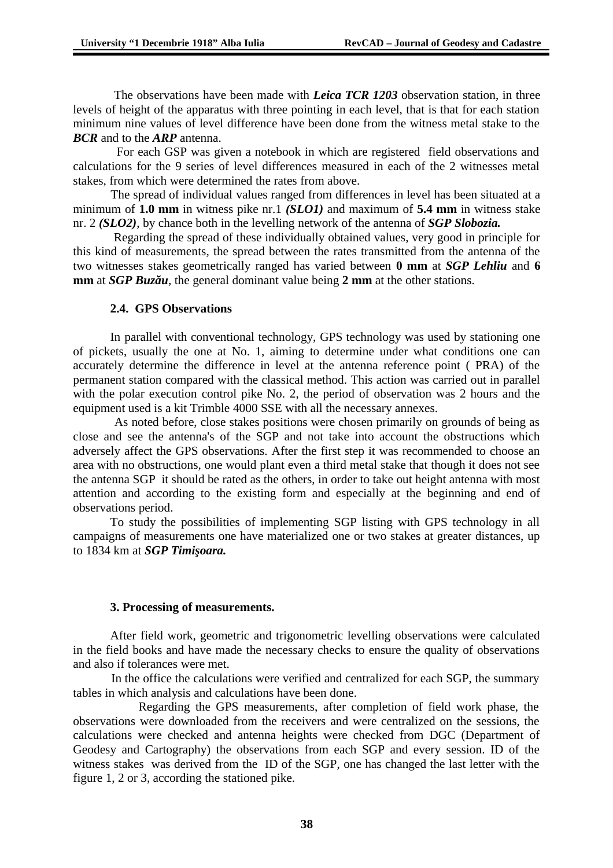The observations have been made with *Leica TCR 1203* observation station, in three levels of height of the apparatus with three pointing in each level, that is that for each station minimum nine values of level difference have been done from the witness metal stake to the *BCR* and to the *ARP* antenna.

 For each GSP was given a notebook in which are registered field observations and calculations for the 9 series of level differences measured in each of the 2 witnesses metal stakes, from which were determined the rates from above.

 The spread of individual values ranged from differences in level has been situated at a minimum of **1.0 mm** in witness pike nr.1 *(SLO1)* and maximum of **5.4 mm** in witness stake nr. 2 *(SLO2)*, by chance both in the levelling network of the antenna of *SGP Slobozia.*

 Regarding the spread of these individually obtained values, very good in principle for this kind of measurements, the spread between the rates transmitted from the antenna of the two witnesses stakes geometrically ranged has varied between **0 mm** at *SGP Lehliu* and **6 mm** at *SGP Buzău*, the general dominant value being **2 mm** at the other stations.

### **2.4. GPS Observations**

In parallel with conventional technology, GPS technology was used by stationing one of pickets, usually the one at No. 1, aiming to determine under what conditions one can accurately determine the difference in level at the antenna reference point ( PRA) of the permanent station compared with the classical method. This action was carried out in parallel with the polar execution control pike No. 2, the period of observation was 2 hours and the equipment used is a kit Trimble 4000 SSE with all the necessary annexes.

 As noted before, close stakes positions were chosen primarily on grounds of being as close and see the antenna's of the SGP and not take into account the obstructions which adversely affect the GPS observations. After the first step it was recommended to choose an area with no obstructions, one would plant even a third metal stake that though it does not see the antenna SGP it should be rated as the others, in order to take out height antenna with most attention and according to the existing form and especially at the beginning and end of observations period.

To study the possibilities of implementing SGP listing with GPS technology in all campaigns of measurements one have materialized one or two stakes at greater distances, up to 1834 km at *SGP Timişoara.*

#### **3. Processing of measurements.**

After field work, geometric and trigonometric levelling observations were calculated in the field books and have made the necessary checks to ensure the quality of observations and also if tolerances were met.

 In the office the calculations were verified and centralized for each SGP, the summary tables in which analysis and calculations have been done.

 Regarding the GPS measurements, after completion of field work phase, the observations were downloaded from the receivers and were centralized on the sessions, the calculations were checked and antenna heights were checked from DGC (Department of Geodesy and Cartography) the observations from each SGP and every session. ID of the witness stakes was derived from the ID of the SGP, one has changed the last letter with the figure 1, 2 or 3, according the stationed pike.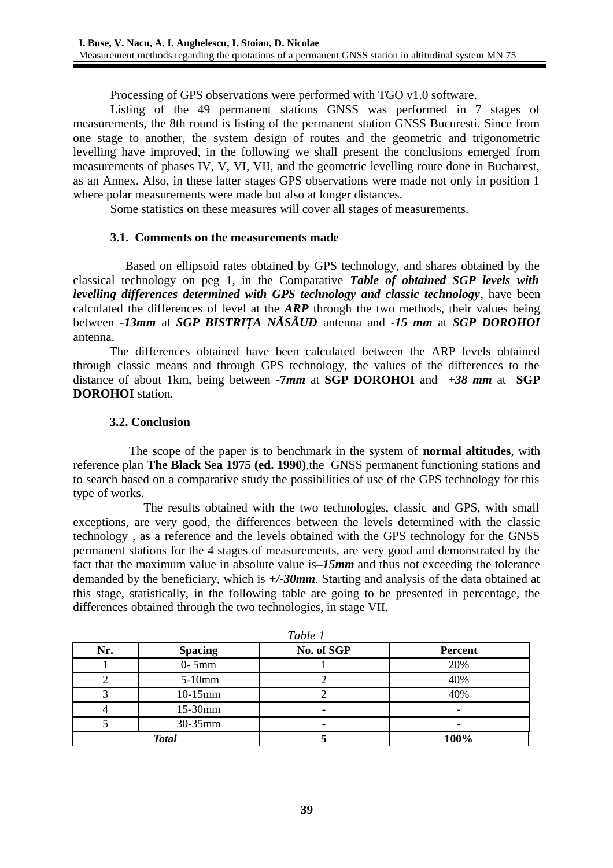Processing of GPS observations were performed with TGO v1.0 software.

Listing of the 49 permanent stations GNSS was performed in 7 stages of measurements, the 8th round is listing of the permanent station GNSS Bucuresti. Since from one stage to another, the system design of routes and the geometric and trigonometric levelling have improved, in the following we shall present the conclusions emerged from measurements of phases IV, V, VI, VII, and the geometric levelling route done in Bucharest, as an Annex. Also, in these latter stages GPS observations were made not only in position 1 where polar measurements were made but also at longer distances.

Some statistics on these measures will cover all stages of measurements.

# **3.1. Comments on the measurements made**

 Based on ellipsoid rates obtained by GPS technology, and shares obtained by the classical technology on peg 1, in the Comparative *Table of obtained SGP levels with levelling differences determined with GPS technology and classic technology*, have been calculated the differences of level at the *ARP* through the two methods, their values being between -*13mm* at *SGP BISTRIŢA NÃSÃUD* antenna and *-15 mm* at *SGP DOROHOI* antenna.

The differences obtained have been calculated between the ARP levels obtained through classic means and through GPS technology, the values of the differences to the distance of about 1km, being between **-7***mm* at **SGP DOROHOI** and *+38 mm* at **SGP DOROHOI** station.

### **3.2. Conclusion**

 The scope of the paper is to benchmark in the system of **normal altitudes**, with reference plan **The Black Sea 1975 (ed. 1990)**,the GNSS permanent functioning stations and to search based on a comparative study the possibilities of use of the GPS technology for this type of works.

 The results obtained with the two technologies, classic and GPS, with small exceptions, are very good, the differences between the levels determined with the classic technology , as a reference and the levels obtained with the GPS technology for the GNSS permanent stations for the 4 stages of measurements, are very good and demonstrated by the fact that the maximum value in absolute value is*–15mm* and thus not exceeding the tolerance demanded by the beneficiary, which is *+/-30mm*. Starting and analysis of the data obtained at this stage, statistically, in the following table are going to be presented in percentage, the differences obtained through the two technologies, in stage VII.

| Tapie 1      |                |            |                |  |  |  |  |
|--------------|----------------|------------|----------------|--|--|--|--|
| Nr.          | <b>Spacing</b> | No. of SGP | <b>Percent</b> |  |  |  |  |
|              | $0-5mm$        |            | 20%            |  |  |  |  |
|              | $5-10$ mm      |            | 40%            |  |  |  |  |
|              | 10-15mm        |            | 40%            |  |  |  |  |
|              | 15-30mm        |            |                |  |  |  |  |
|              | 30-35mm        |            |                |  |  |  |  |
| <b>Total</b> |                |            | 100%           |  |  |  |  |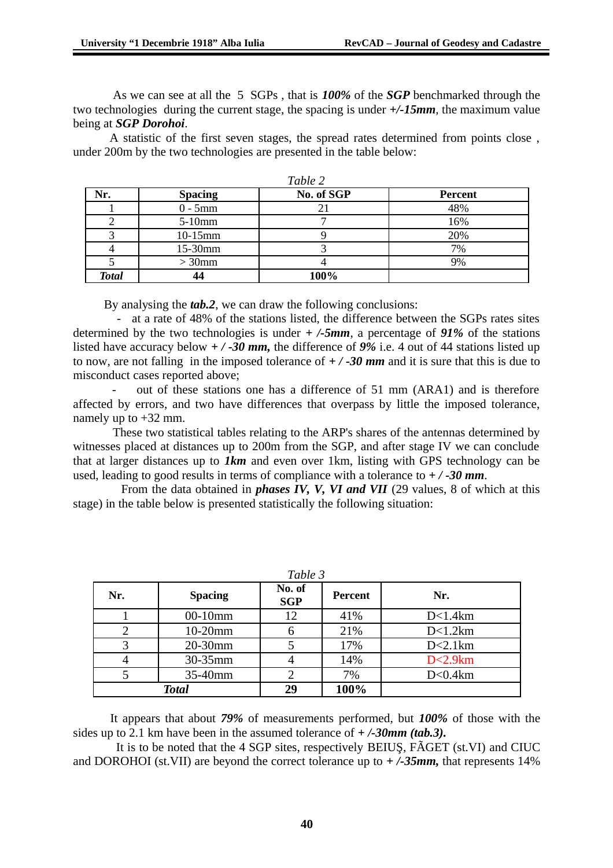As we can see at all the 5 SGPs , that is *100%* of the *SGP* benchmarked through the two technologies during the current stage, the spacing is under *+/-15mm*, the maximum value being at *SGP Dorohoi*.

A statistic of the first seven stages, the spread rates determined from points close , under 200m by the two technologies are presented in the table below:

| Nr.          | <b>Spacing</b> | No. of SGP | <b>Percent</b> |
|--------------|----------------|------------|----------------|
|              | $0 - 5mm$      |            | 48%            |
|              | $5-10$ mm      |            | 16%            |
|              | 10-15mm        |            | 20%            |
|              | 15-30mm        |            | 7%             |
|              | $> 30$ mm      |            | 9%             |
| <b>Total</b> | 44             | 100%       |                |

By analysing the *tab.2*, we can draw the following conclusions:

 - at a rate of 48% of the stations listed, the difference between the SGPs rates sites determined by the two technologies is under *+ /-5mm*, a percentage of *91%* of the stations listed have accuracy below *+ / -30 mm,* the difference of *9%* i.e. 4 out of 44 stations listed up to now, are not falling in the imposed tolerance of *+ / -30 mm* and it is sure that this is due to misconduct cases reported above;

out of these stations one has a difference of 51 mm (ARA1) and is therefore affected by errors, and two have differences that overpass by little the imposed tolerance, namely up to +32 mm.

 These two statistical tables relating to the ARP's shares of the antennas determined by witnesses placed at distances up to 200m from the SGP, and after stage IV we can conclude that at larger distances up to *1km* and even over 1km, listing with GPS technology can be used, leading to good results in terms of compliance with a tolerance to *+ / -30 mm*.

 From the data obtained in *phases IV, V, VI and VII* (29 values, 8 of which at this stage) in the table below is presented statistically the following situation:

| Table 3      |                |                      |                |            |  |  |  |
|--------------|----------------|----------------------|----------------|------------|--|--|--|
| Nr.          | <b>Spacing</b> | No. of<br><b>SGP</b> | <b>Percent</b> | Nr.        |  |  |  |
|              | 00-10mm        | 12                   | 41%            | D<1.4km    |  |  |  |
|              | 10-20mm        | 6                    | 21%            | D<1.2km    |  |  |  |
|              | 20-30mm        | 5                    | 17%            | D<2.1km    |  |  |  |
|              | 30-35mm        | 4                    | 14%            | D < 2.9 km |  |  |  |
|              | 35-40mm        |                      | 7%             | D < 0.4km  |  |  |  |
| <b>Total</b> |                | 29                   | 100%           |            |  |  |  |

It appears that about *79%* of measurements performed, but *100%* of those with the sides up to 2.1 km have been in the assumed tolerance of *+ /-30mm (tab.3).*

 It is to be noted that the 4 SGP sites, respectively BEIUŞ, FÃGET (st.VI) and CIUC and DOROHOI (st.VII) are beyond the correct tolerance up to *+ /-35mm,* that represents 14%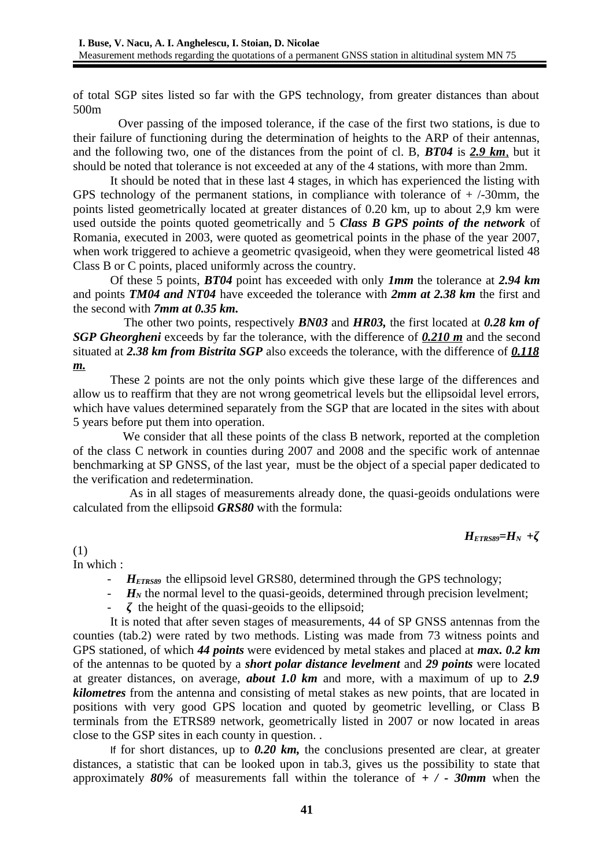of total SGP sites listed so far with the GPS technology, from greater distances than about 500m

 Over passing of the imposed tolerance, if the case of the first two stations, is due to their failure of functioning during the determination of heights to the ARP of their antennas, and the following two, one of the distances from the point of cl. B, *BT04* is *2.9 km*, but it should be noted that tolerance is not exceeded at any of the 4 stations, with more than 2mm.

It should be noted that in these last 4 stages, in which has experienced the listing with GPS technology of the permanent stations, in compliance with tolerance of  $+$  /-30mm, the points listed geometrically located at greater distances of 0.20 km, up to about 2,9 km were used outside the points quoted geometrically and 5 *Class B GPS points of the network* of Romania, executed in 2003, were quoted as geometrical points in the phase of the year 2007, when work triggered to achieve a geometric qvasigeoid, when they were geometrical listed 48 Class B or C points, placed uniformly across the country.

Of these 5 points, *BT04* point has exceeded with only *1mm* the tolerance at *2.94 km* and points *TM04 and NT04* have exceeded the tolerance with *2mm at 2.38 km* the first and the second with *7mm at 0.35 km.*

 The other two points, respectively *BN03* and *HR03,* the first located at *0.28 km of SGP Gheorgheni* exceeds by far the tolerance, with the difference of *0.210 m* and the second situated at *2.38 km from Bistrita SGP* also exceeds the tolerance, with the difference of *0.118 m.*

These 2 points are not the only points which give these large of the differences and allow us to reaffirm that they are not wrong geometrical levels but the ellipsoidal level errors, which have values determined separately from the SGP that are located in the sites with about 5 years before put them into operation.

 We consider that all these points of the class B network, reported at the completion of the class C network in counties during 2007 and 2008 and the specific work of antennae benchmarking at SP GNSS, of the last year, must be the object of a special paper dedicated to the verification and redetermination.

 As in all stages of measurements already done, the quasi-geoids ondulations were calculated from the ellipsoid *GRS80* with the formula:

*HETRS89=HN +ζ*

(1)

In which :

- *H*<sub>ETRS89</sub> the ellipsoid level GRS80, determined through the GPS technology;
- $H_N$  the normal level to the quasi-geoids, determined through precision levelment;
- *ζ* the height of the quasi-geoids to the ellipsoid;

It is noted that after seven stages of measurements, 44 of SP GNSS antennas from the counties (tab.2) were rated by two methods. Listing was made from 73 witness points and GPS stationed, of which *44 points* were evidenced by metal stakes and placed at *max. 0.2 km* of the antennas to be quoted by a *short polar distance levelment* and *29 points* were located at greater distances, on average, *about 1.0 km* and more, with a maximum of up to *2.9 kilometres* from the antenna and consisting of metal stakes as new points, that are located in positions with very good GPS location and quoted by geometric levelling, or Class B terminals from the ETRS89 network, geometrically listed in 2007 or now located in areas close to the GSP sites in each county in question. .

If for short distances, up to *0.20 km,* the conclusions presented are clear, at greater distances, a statistic that can be looked upon in tab.3, gives us the possibility to state that approximately *80%* of measurements fall within the tolerance of *+ / - 30mm* when the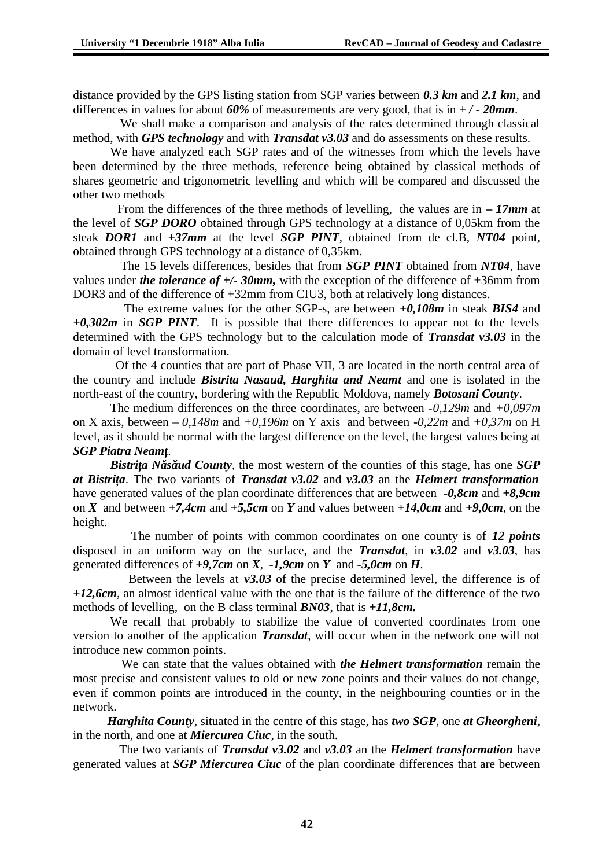distance provided by the GPS listing station from SGP varies between *0.3 km* and *2.1 km*, and differences in values for about *60%* of measurements are very good, that is in *+ / - 20mm*.

 We shall make a comparison and analysis of the rates determined through classical method, with *GPS technology* and with *Transdat v3.03* and do assessments on these results.

We have analyzed each SGP rates and of the witnesses from which the levels have been determined by the three methods, reference being obtained by classical methods of shares geometric and trigonometric levelling and which will be compared and discussed the other two methods

 From the differences of the three methods of levelling, the values are in *– 17mm* at the level of *SGP DORO* obtained through GPS technology at a distance of 0,05km from the steak *DOR1* and *+37mm* at the level *SGP PINT*, obtained from de cl.B, *NT04* point, obtained through GPS technology at a distance of 0,35km.

 The 15 levels differences, besides that from *SGP PINT* obtained from *NT04*, have values under *the tolerance of +/- 30mm,* with the exception of the difference of +36mm from DOR3 and of the difference of +32mm from CIU3, both at relatively long distances.

 The extreme values for the other SGP-s, are between *+0,108m* in steak *BIS4* and *+0,302m* in *SGP PINT*. It is possible that there differences to appear not to the levels determined with the GPS technology but to the calculation mode of *Transdat v3.03* in the domain of level transformation.

 Of the 4 counties that are part of Phase VII, 3 are located in the north central area of the country and include *Bistrita Nasaud, Harghita and Neamt* and one is isolated in the north-east of the country, bordering with the Republic Moldova, namely *Botosani County*.

The medium differences on the three coordinates, are between -*0,129m* and *+0,097m* on X axis, between *– 0,148m* and *+0,196m* on Y axis and between *-0,22m* and *+0,37m* on H level, as it should be normal with the largest difference on the level, the largest values being at *SGP Piatra Neamţ*.

*Bistrita Năsăud County*, the most western of the counties of this stage, has one *SGP at Bistriţa*. The two variants of *Transdat v3.02* and *v3.03* an the *Helmert transformation* have generated values of the plan coordinate differences that are between *-0,8cm* and *+8,9cm* on *X* and between *+7,4cm* and *+5,5cm* on *Y* and values between *+14,0cm* and *+9,0cm*, on the height.

 The number of points with common coordinates on one county is of *12 points* disposed in an uniform way on the surface, and the *Transdat*, in *v3.02* and *v3.03*, has generated differences of *+9,7cm* on *X*, *-1,9cm* on *Y* and *-5,0cm* on *H*.

 Between the levels at *v3.03* of the precise determined level, the difference is of *+12,6cm*, an almost identical value with the one that is the failure of the difference of the two methods of levelling, on the B class terminal *BN03*, that is *+11,8cm.*

We recall that probably to stabilize the value of converted coordinates from one version to another of the application *Transdat*, will occur when in the network one will not introduce new common points.

 We can state that the values obtained with *the Helmert transformation* remain the most precise and consistent values to old or new zone points and their values do not change, even if common points are introduced in the county, in the neighbouring counties or in the network.

 *Harghita County*, situated in the centre of this stage, has *two SGP*, one *at Gheorgheni*, in the north, and one at *Miercurea Ciuc*, in the south.

 The two variants of *Transdat v3.02* and *v3.03* an the *Helmert transformation* have generated values at *SGP Miercurea Ciuc* of the plan coordinate differences that are between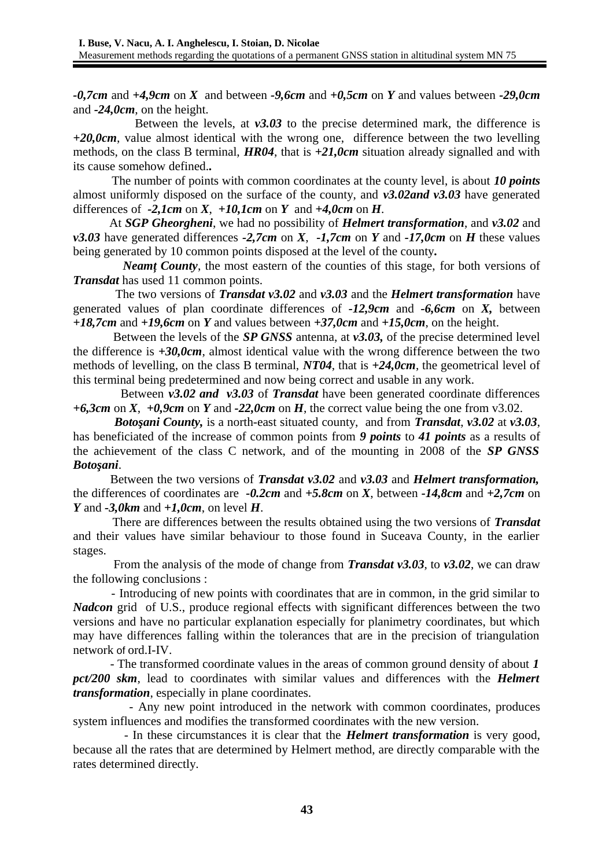*-0,7cm* and *+4,9cm* on *X* and between *-9,6cm* and *+0,5cm* on *Y* and values between *-29,0cm* and *-24,0cm*, on the height.

 Between the levels, at *v3.03* to the precise determined mark, the difference is *+20,0cm*, value almost identical with the wrong one, difference between the two levelling methods, on the class B terminal, *HR04*, that is *+21,0cm* situation already signalled and with its cause somehow defined.*.*

 The number of points with common coordinates at the county level, is about *10 points* almost uniformly disposed on the surface of the county, and *v3.02and v3.03* have generated differences of  $-2,1$ cm on *X*,  $+10,1$ cm on *Y* and  $+4,0$ cm on *H*.

 At *SGP Gheorgheni*, we had no possibility of *Helmert transformation*, and *v3.02* and *v3.03* have generated differences *-2,7cm* on *X*, *-1,7cm* on *Y* and *-17,0cm* on *H* these values being generated by 10 common points disposed at the level of the county*.*

 *Neamţ County*, the most eastern of the counties of this stage, for both versions of *Transdat* has used 11 common points.

 The two versions of *Transdat v3.02* and *v3.03* and the *Helmert transformation* have generated values of plan coordinate differences of *-12,9cm* and *-6,6cm* on *X,* between *+18,7cm* and *+19,6cm* on *Y* and values between *+37,0cm* and *+15,0cm*, on the height.

 Between the levels of the *SP GNSS* antenna, at *v3.03,* of the precise determined level the difference is *+30,0cm*, almost identical value with the wrong difference between the two methods of levelling, on the class B terminal, *NT04*, that is *+24,0cm*, the geometrical level of this terminal being predetermined and now being correct and usable in any work.

 Between *v3.02 and v3.03* of *Transdat* have been generated coordinate differences *+6,3cm* on *X*, *+0,9cm* on *Y* and *-22,0cm* on *H*, the correct value being the one from v3.02.

 *Botoşani County,* is a north-east situated county, and from *Transdat*, *v3.02* at *v3.03*, has beneficiated of the increase of common points from *9 points* to *41 points* as a results of the achievement of the class C network, and of the mounting in 2008 of the *SP GNSS Botoşani*.

Between the two versions of *Transdat v3.02* and *v3.03* and *Helmert transformation,* the differences of coordinates are *-0.2cm* and *+5.8cm* on *X*, between *-14,8cm* and *+2,7cm* on *Y* and *-3,0km* and *+1,0cm*, on level *H*.

 There are differences between the results obtained using the two versions of *Transdat* and their values have similar behaviour to those found in Suceava County, in the earlier stages.

 From the analysis of the mode of change from *Transdat v3.03*, to *v3.02*, we can draw the following conclusions :

 - Introducing of new points with coordinates that are in common, in the grid similar to *Nadcon* grid of U.S., produce regional effects with significant differences between the two versions and have no particular explanation especially for planimetry coordinates, but which may have differences falling within the tolerances that are in the precision of triangulation network of ord.I-IV.

 - The transformed coordinate values in the areas of common ground density of about *1 pct/200 skm*, lead to coordinates with similar values and differences with the *Helmert transformation*, especially in plane coordinates.

 - Any new point introduced in the network with common coordinates, produces system influences and modifies the transformed coordinates with the new version.

 - In these circumstances it is clear that the *Helmert transformation* is very good, because all the rates that are determined by Helmert method, are directly comparable with the rates determined directly.